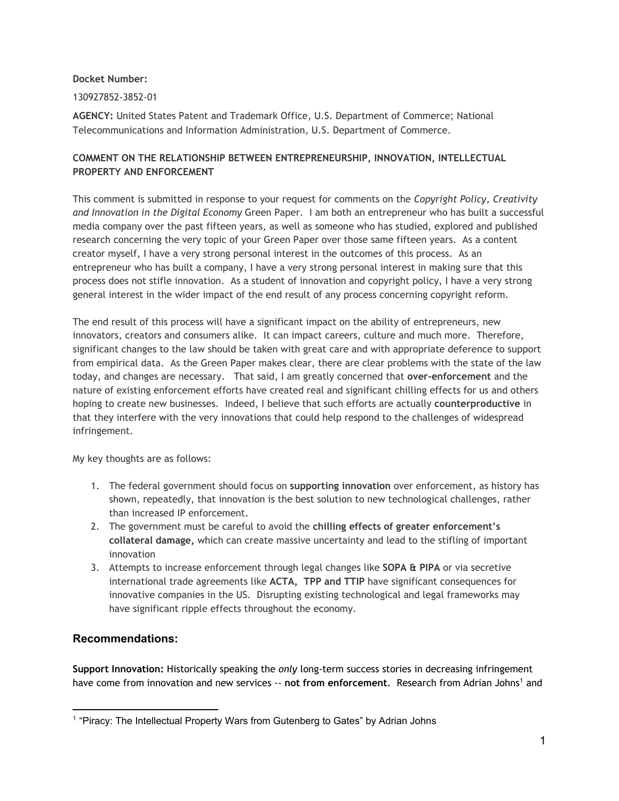**Docket Number:**

130927852-3852-01

**AGENCY:** United States Patent and Trademark Office, U.S. Department of Commerce; National Telecommunications and Information Administration, U.S. Department of Commerce.

## **COMMENT ON THE RELATIONSHIP BETWEEN ENTREPRENEURSHIP, INNOVATION, INTELLECTUAL PROPERTY AND ENFORCEMENT**

This comment is submitted in response to your request for comments on the *Copyright Policy, Creativity and Innovation in the Digital Economy* Green Paper. I am both an entrepreneur who has built a successful media company over the past fifteen years, as well as someone who has studied, explored and published research concerning the very topic of your Green Paper over those same fifteen years. As a content creator myself, I have a very strong personal interest in the outcomes of this process. As an entrepreneur who has built a company, I have a very strong personal interest in making sure that this process does not stifle innovation. As a student of innovation and copyright policy, I have a very strong general interest in the wider impact of the end result of any process concerning copyright reform.

The end result of this process will have a significant impact on the ability of entrepreneurs, new innovators, creators and consumers alike. It can impact careers, culture and much more. Therefore, significant changes to the law should be taken with great care and with appropriate deference to support from empirical data. As the Green Paper makes clear, there are clear problems with the state of the law today, and changes are necessary. That said, I am greatly concerned that **over-enforcement** and the nature of existing enforcement efforts have created real and significant chilling effects for us and others hoping to create new businesses. Indeed, I believe that such efforts are actually **counterproductive** in that they interfere with the very innovations that could help respond to the challenges of widespread infringement.

My key thoughts are as follows:

- 1. The federal government should focus on **supporting innovation** over enforcement, as history has shown, repeatedly, that innovation is the best solution to new technological challenges, rather than increased IP enforcement.
- 2. The government must be careful to avoid the **chilling effects of greater enforcement's collateral damage,** which can create massive uncertainty and lead to the stifling of important innovation
- 3. Attempts to increase enforcement through legal changes like **SOPA & PIPA** or via secretive international trade agreements like **ACTA, TPP and TTIP** have significant consequences for innovative companies in the US. Disrupting existing technological and legal frameworks may have significant ripple effects throughout the economy.

## **Recommendations:**

**Support Innovation:** Historically speaking the *only* long-term success stories in decreasing infringement have come from innovation and new services -- not from enforcement. Research from Adrian Johns<sup>1</sup> and

<sup>&</sup>lt;sup>1</sup> "Piracy: The Intellectual Property Wars from Gutenberg to Gates" by Adrian Johns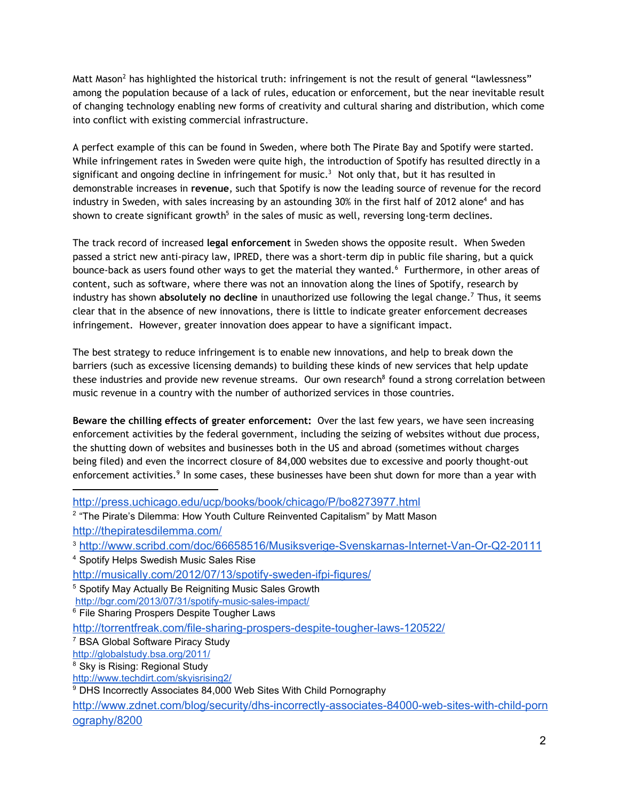Matt Mason $^2$  has highlighted the historical truth: infringement is not the result of general "lawlessness" among the population because of a lack of rules, education or enforcement, but the near inevitable result of changing technology enabling new forms of creativity and cultural sharing and distribution, which come into conflict with existing commercial infrastructure.

A perfect example of this can be found in Sweden, where both The Pirate Bay and Spotify were started. While infringement rates in Sweden were quite high, the introduction of Spotify has resulted directly in a significant and ongoing decline in infringement for music.<sup>3</sup> Not only that, but it has resulted in demonstrable increases in **revenue**, such that Spotify is now the leading source of revenue for the record industry in Sweden, with sales increasing by an astounding 30% in the first half of 2012 alone<sup>4</sup> and has shown to create significant growth<sup>5</sup> in the sales of music as well, reversing long-term declines.

The track record of increased **legal enforcement** in Sweden shows the opposite result. When Sweden passed a strict new anti-piracy law, IPRED, there was a short-term dip in public file sharing, but a quick bounce-back as users found other ways to get the material they wanted.<sup>6</sup> Furthermore, in other areas of content, such as software, where there was not an innovation along the lines of Spotify, research by industry has shown absolutely no decline in unauthorized use following the legal change.<sup>7</sup> Thus, it seems clear that in the absence of new innovations, there is little to indicate greater enforcement decreases infringement. However, greater innovation does appear to have a significant impact.

The best strategy to reduce infringement is to enable new innovations, and help to break down the barriers (such as excessive licensing demands) to building these kinds of new services that help update these industries and provide new revenue streams. Our own research $^8$  found a strong correlation between music revenue in a country with the number of authorized services in those countries.

**Beware the chilling effects of greater enforcement:** Over the last few years, we have seen increasing enforcement activities by the federal government, including the seizing of websites without due process, the shutting down of websites and businesses both in the US and abroad (sometimes without charges being filed) and even the incorrect closure of 84,000 websites due to excessive and poorly thought-out enforcement activities. $9$  In some cases, these businesses have been shut down for more than a year with

<sup>4</sup> Spotify Helps Swedish Music Sales Rise

[http://press.uchicago.edu/ucp/books/book/chicago/P/bo8273977.html](http://www.google.com/url?q=http%3A%2F%2Fpress.uchicago.edu%2Fucp%2Fbooks%2Fbook%2Fchicago%2FP%2Fbo8273977.html&sa=D&sntz=1&usg=AFQjCNHS4UiGscTe8gBSX0CZs_AXSemOhg) <sup>2</sup> "The Pirate's Dilemma: How Youth Culture Reinvented Capitalism" by Matt Mason [http://thepiratesdilemma.com/](http://www.google.com/url?q=http%3A%2F%2Fthepiratesdilemma.com%2F&sa=D&sntz=1&usg=AFQjCNEtb0ZtWP31BXomQHdVuq0cL1h8xQ)

<sup>3</sup> http://www.scribd.com/doc/66658516/Musiksverige-Svenskarnas-Internet-Van-Or-Q2-20111

http://musically.com/2012/07/13/spotify-sweden-ifpi-figures/

<sup>5</sup> Spotify May Actually Be Reigniting Music Sales Growth

http://bgr.com/2013/07/31/spotify-music-sales-impact/

<sup>&</sup>lt;sup>6</sup> File Sharing Prospers Despite Tougher Laws

http://torrentfreak.com/file-sharing-prospers-despite-tougher-laws-120522/

<sup>7</sup> BSA Global Software Piracy Study

[http://globalstudy.bsa.org/2011/](http://www.google.com/url?q=http%3A%2F%2Fglobalstudy.bsa.org%2F2011%2F&sa=D&sntz=1&usg=AFQjCNHAQSBjTo48CXVYnqqtFqnDOvUFZQ)

<sup>8</sup> Sky is Rising: Regional Study

[http://www.techdirt.com/skyisrising2/](http://www.google.com/url?q=http%3A%2F%2Fwww.techdirt.com%2Fskyisrising2%2F&sa=D&sntz=1&usg=AFQjCNG_NfQGiGL0CL1Frod5yJ4brvfCIg)

<sup>&</sup>lt;sup>9</sup> DHS Incorrectly Associates 84,000 Web Sites With Child Pornography

http://www.zdnet.com/blog/security/dhs-incorrectly-associates-84000-web-sites-with-child-porn [ography/8200](http://www.google.com/url?q=http%3A%2F%2Fwww.zdnet.com%2Fblog%2Fsecurity%2Fdhs-incorrectly-associates-84000-web-sites-with-child-pornography%2F8200&sa=D&sntz=1&usg=AFQjCNGkXWZAEgcaTw5eAMmSKGspddNlzQ)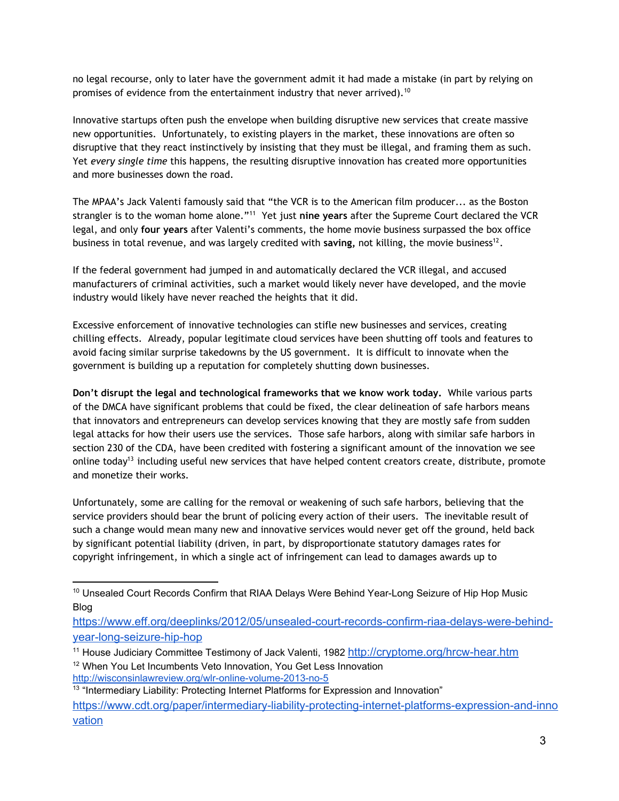no legal recourse, only to later have the government admit it had made a mistake (in part by relying on promises of evidence from the entertainment industry that never arrived).  $^{10}$ 

Innovative startups often push the envelope when building disruptive new services that create massive new opportunities. Unfortunately, to existing players in the market, these innovations are often so disruptive that they react instinctively by insisting that they must be illegal, and framing them as such. Yet *every single time* this happens, the resulting disruptive innovation has created more opportunities and more businesses down the road.

The MPAA's Jack Valenti famously said that "the VCR is to the American film producer... as the Boston strangler is to the woman home alone."<sup>11</sup> Yet just nine years after the Supreme Court declared the VCR legal, and only **four years** after Valenti's comments, the home movie business surpassed the box office business in total revenue, and was largely credited with saving, not killing, the movie business<sup>12</sup>.

If the federal government had jumped in and automatically declared the VCR illegal, and accused manufacturers of criminal activities, such a market would likely never have developed, and the movie industry would likely have never reached the heights that it did.

Excessive enforcement of innovative technologies can stifle new businesses and services, creating chilling effects. Already, popular legitimate cloud services have been shutting off tools and features to avoid facing similar surprise takedowns by the US government. It is difficult to innovate when the government is building up a reputation for completely shutting down businesses.

**Don't disrupt the legal and technological frameworks that we know work today.** While various parts of the DMCA have significant problems that could be fixed, the clear delineation of safe harbors means that innovators and entrepreneurs can develop services knowing that they are mostly safe from sudden legal attacks for how their users use the services. Those safe harbors, along with similar safe harbors in section 230 of the CDA, have been credited with fostering a significant amount of the innovation we see online today<sup>13</sup> including useful new services that have helped content creators create, distribute, promote and monetize their works.

Unfortunately, some are calling for the removal or weakening of such safe harbors, believing that the service providers should bear the brunt of policing every action of their users. The inevitable result of such a change would mean many new and innovative services would never get off the ground, held back by significant potential liability (driven, in part, by disproportionate statutory damages rates for copyright infringement, in which a single act of infringement can lead to damages awards up to

<sup>&</sup>lt;sup>10</sup> Unsealed Court Records Confirm that RIAA Delays Were Behind Year-Long Seizure of Hip Hop Music Blog

https://www.eff.org/deeplinks/2012/05/unsealed-court-records-confirm-riaa-delays-were-behindyear-long-seizure-hip-hop

<sup>&</sup>lt;sup>11</sup> House Judiciary Committee Testimony of Jack Valenti, 1982 http://cryptome.org/hrcw-hear.htm <sup>12</sup> When You Let Incumbents Veto Innovation, You Get Less Innovation http://wisconsinlawreview.org/wlr-online-volume-2013-no-5

<sup>&</sup>lt;sup>13</sup> "Intermediary Liability: Protecting Internet Platforms for Expression and Innovation" https://www.cdt.org/paper/intermediary-liability-protecting-internet-platforms-expression-and-inno [vation](https://www.google.com/url?q=https%3A%2F%2Fwww.cdt.org%2Fpaper%2Fintermediary-liability-protecting-internet-platforms-expression-and-innovation&sa=D&sntz=1&usg=AFQjCNGRL4zMmCP2hJUi1epWPSI7Dtqftw)